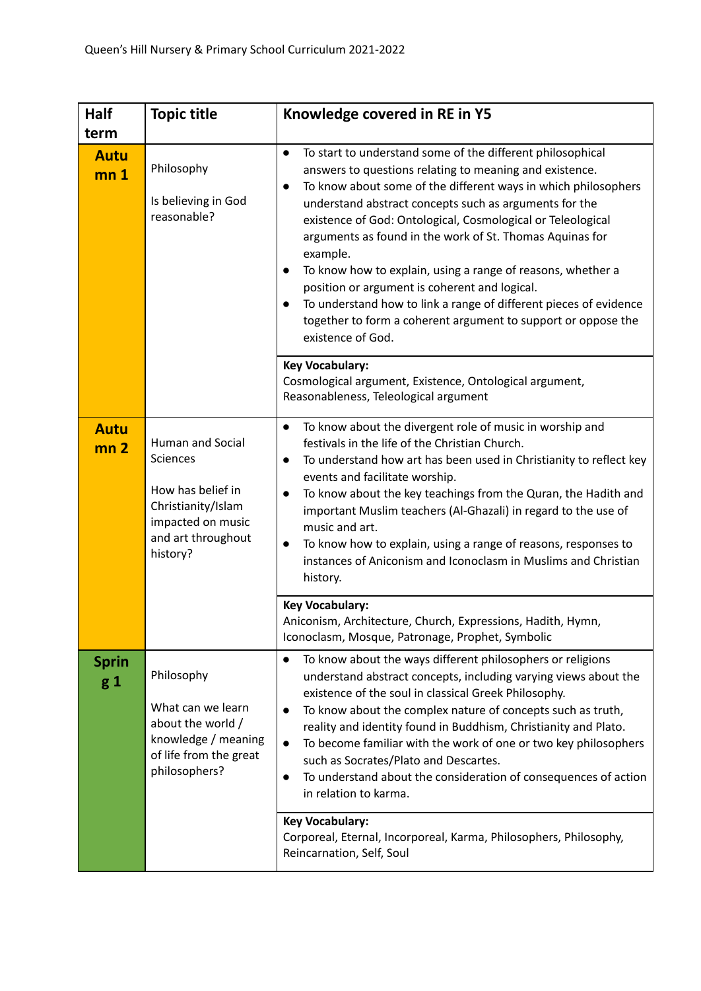| <b>Half</b>                            | <b>Topic title</b>                                                                                                             | Knowledge covered in RE in Y5                                                                                                                                                                                                                                                                                                                                                                                                                                                                                                                                                                                                                                                                                             |
|----------------------------------------|--------------------------------------------------------------------------------------------------------------------------------|---------------------------------------------------------------------------------------------------------------------------------------------------------------------------------------------------------------------------------------------------------------------------------------------------------------------------------------------------------------------------------------------------------------------------------------------------------------------------------------------------------------------------------------------------------------------------------------------------------------------------------------------------------------------------------------------------------------------------|
| term<br><b>Autu</b><br>mn <sub>1</sub> | Philosophy<br>Is believing in God<br>reasonable?                                                                               | To start to understand some of the different philosophical<br>$\bullet$<br>answers to questions relating to meaning and existence.<br>To know about some of the different ways in which philosophers<br>understand abstract concepts such as arguments for the<br>existence of God: Ontological, Cosmological or Teleological<br>arguments as found in the work of St. Thomas Aquinas for<br>example.<br>To know how to explain, using a range of reasons, whether a<br>position or argument is coherent and logical.<br>To understand how to link a range of different pieces of evidence<br>together to form a coherent argument to support or oppose the<br>existence of God.<br><b>Key Vocabulary:</b>                |
|                                        |                                                                                                                                | Cosmological argument, Existence, Ontological argument,<br>Reasonableness, Teleological argument                                                                                                                                                                                                                                                                                                                                                                                                                                                                                                                                                                                                                          |
| <b>Autu</b><br>mn <sub>2</sub>         | Human and Social<br>Sciences<br>How has belief in<br>Christianity/Islam<br>impacted on music<br>and art throughout<br>history? | To know about the divergent role of music in worship and<br>$\bullet$<br>festivals in the life of the Christian Church.<br>To understand how art has been used in Christianity to reflect key<br>$\bullet$<br>events and facilitate worship.<br>To know about the key teachings from the Quran, the Hadith and<br>$\bullet$<br>important Muslim teachers (Al-Ghazali) in regard to the use of<br>music and art.<br>To know how to explain, using a range of reasons, responses to<br>$\bullet$<br>instances of Aniconism and Iconoclasm in Muslims and Christian<br>history.<br><b>Key Vocabulary:</b><br>Aniconism, Architecture, Church, Expressions, Hadith, Hymn,<br>Iconoclasm, Mosque, Patronage, Prophet, Symbolic |
| <b>Sprin</b><br>$g_1$                  | Philosophy<br>What can we learn<br>about the world /<br>knowledge / meaning<br>of life from the great<br>philosophers?         | To know about the ways different philosophers or religions<br>$\bullet$<br>understand abstract concepts, including varying views about the<br>existence of the soul in classical Greek Philosophy.<br>To know about the complex nature of concepts such as truth,<br>$\bullet$<br>reality and identity found in Buddhism, Christianity and Plato.<br>To become familiar with the work of one or two key philosophers<br>$\bullet$<br>such as Socrates/Plato and Descartes.<br>To understand about the consideration of consequences of action<br>$\bullet$<br>in relation to karma.<br><b>Key Vocabulary:</b><br>Corporeal, Eternal, Incorporeal, Karma, Philosophers, Philosophy,<br>Reincarnation, Self, Soul           |